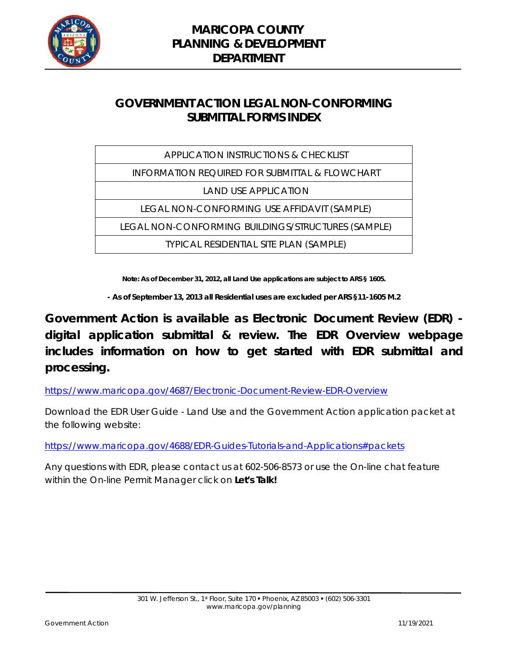

# **GOVERNMENT ACTION LEGAL NON-CONFORMING SUBMITTAL FORMS INDEX**

| <b>APPLICATION INSTRUCTIONS &amp; CHECKLIST</b>           |
|-----------------------------------------------------------|
| <b>INFORMATION REQUIRED FOR SUBMITTAL &amp; FLOWCHART</b> |
| <b>LAND USE APPLICATION</b>                               |
| LEGAL NON-CONFORMING USE AFFIDAVIT (SAMPLE)               |
| LEGAL NON-CONFORMING BUILDINGS/STRUCTURES (SAMPLE)        |
| <b>TYPICAL RESIDENTIAL SITE PLAN (SAMPLE)</b>             |

**Note: As of December 31, 2012, all Land Use applications are subject to ARS § 1605.**

**- As of September 13, 2013 all Residential uses are excluded per ARS §11-1605 M.2**

**Government Action is available as Electronic Document Review (EDR) digital application submittal & review. The EDR Overview webpage includes information on how to get started with EDR submittal and processing.** 

https://www.maricopa.gov/4687/Electronic-Document-Review-EDR-Overview

Download the EDR User Guide - Land Use and the Government Action application packet at the following website:

https://www.maricopa.gov/4688/EDR-Guides-Tutorials-and-Applications#packets

Any questions with EDR, please contact us at 602-506-8573 or use the On-line chat feature within the On-line Permit Manager click on **Let's Talk!**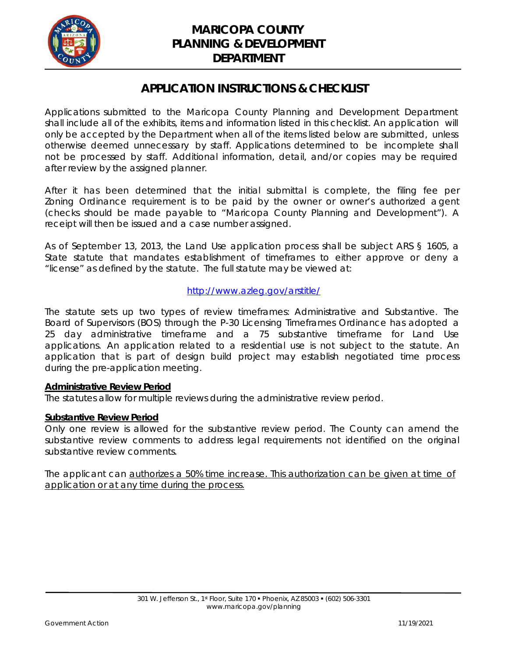

### **APPLICATION INSTRUCTIONS & CHECKLIST**

Applications submitted to the Maricopa County Planning and Development Department shall include all of the exhibits, items and information listed in this checklist. An application will only be accepted by the Department when all of the items listed below are submitted, unless otherwise deemed unnecessary by staff. Applications determined to be incomplete shall not be processed by staff. Additional information, detail, and/or copies may be required after review by the assigned planner.

After it has been determined that the initial submittal is complete, the filing fee per Zoning Ordinance requirement is to be paid by the owner or owner's authorized agent (checks should be made payable to "Maricopa County Planning and Development"). A receipt will then be issued and a case number assigned.

As of September 13, 2013, the Land Use application process shall be subject ARS § 1605, a State statute that mandates establishment of timeframes to either approve or deny a "license" as defined by the statute. The full statute may be viewed at:

#### http://www.azleg.gov/arstitle/

The statute sets up two types of review timeframes: Administrative and Substantive. The Board of Supervisors (BOS) through the P-30 Licensing Timeframes Ordinance has adopted a 25 day administrative timeframe and a 75 substantive timeframe for Land Use applications. An application related to a residential use is not subject to the statute. An application that is part of design build project may establish negotiated time process during the pre-application meeting.

#### *Administrative Review Period*

The statutes allow for multiple reviews during the administrative review period.

#### *Substantive Review Period*

Only one review is allowed for the substantive review period. The County can amend the substantive review comments to address legal requirements not identified on the original substantive review comments.

The applicant can authorizes a 50% time increase. This authorization can be given at time of application or at any time during the process.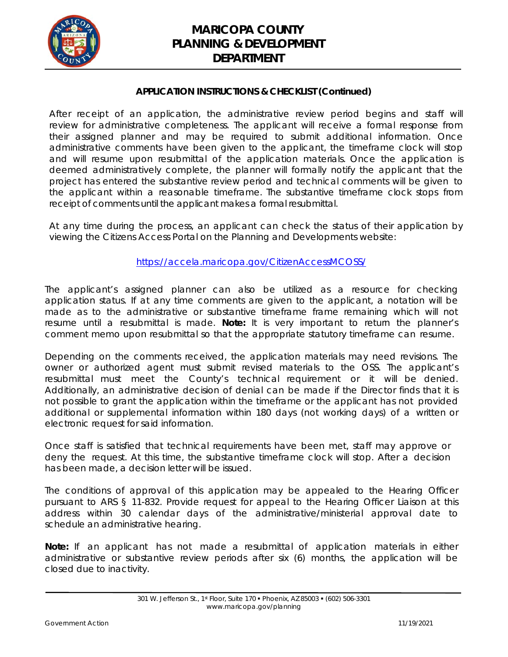

#### **APPLICATION INSTRUCTIONS & CHECKLIST (Continued)**

After receipt of an application, the administrative review period begins and staff will review for administrative completeness. The applicant will receive a formal response from their assigned planner and may be required to submit additional information. Once administrative comments have been given to the applicant, the timeframe clock will stop and will resume upon resubmittal of the application materials. Once the application is deemed administratively complete, the planner will formally notify the applicant that the project has entered the substantive review period and technical comments will be given to the applicant within a reasonable timeframe. The substantive timeframe clock stops from receipt of comments until the applicant makes a formal resubmittal.

At any time during the process, an applicant can check the status of their application by viewing the Citizens Access Portal on the Planning and Developments website:

#### https://accela.maricopa.gov/CitizenAccessMCOSS/

The applicant's assigned planner can also be utilized as a resource for checking application status. If at any time comments are given to the applicant, a notation will be made as to the administrative or substantive timeframe frame remaining which will not resume until a resubmittal is made. **Note:** It is very important to return the planner's comment memo upon resubmittal so that the appropriate statutory timeframe can resume.

Depending on the comments received, the application materials may need revisions. The owner or authorized agent must submit revised materials to the OSS. The applicant's resubmittal must meet the County's technical requirement or it will be denied. Additionally, an administrative decision of denial can be made if the Director finds that it is not possible to grant the application within the timeframe or the applicant has not provided additional or supplemental information within 180 days (not working days) of a written or electronic request for said information.

Once staff is satisfied that technical requirements have been met, staff may approve or deny the request. At this time, the substantive timeframe clock will stop. After a decision has been made, a decision letter will be issued.

The conditions of approval of this application may be appealed to the Hearing Officer pursuant to ARS § 11-832. Provide request for appeal to the Hearing Officer Liaison at this address within 30 calendar days of the administrative/ministerial approval date to schedule an administrative hearing.

**Note:** If an applicant has not made a resubmittal of application materials in either administrative or substantive review periods after six (6) months, the application will be closed due to inactivity.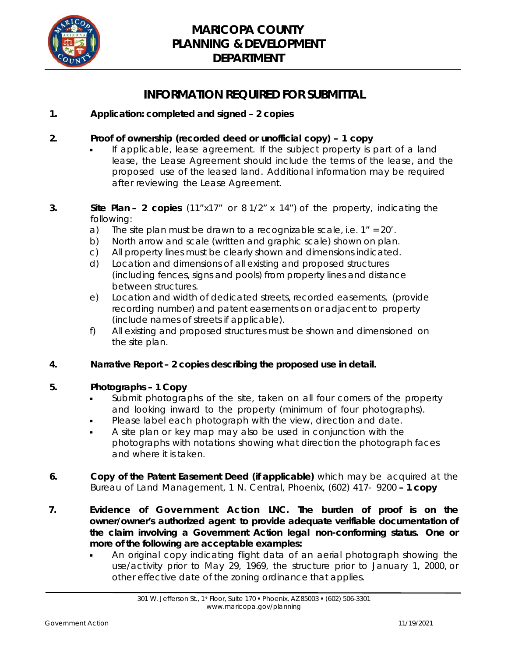

### **INFORMATION REQUIRED FOR SUBMITTAL**

#### **1. Application: completed and signed – 2 copies**

#### **2. Proof of ownership (recorded deed or unofficial copy) – 1 copy**

- If applicable, lease agreement. If the subject property is part of a land lease, the Lease Agreement should include the terms of the lease, and the proposed use of the leased land. Additional information may be required after reviewing the Lease Agreement.
- **3. Site Plan 2 copies** (11"x17" or 8 1/2" x 14") of the property, indicating the following:
	- a) The site plan must be drawn to a recognizable scale, i.e.  $1'' = 20'$ .
	- b) North arrow and scale (written and graphic scale) shown on plan.
	- c) All property lines must be clearly shown and dimensions indicated.
	- d) Location and dimensions of all existing and proposed structures (including fences, signs and pools) from property lines and distance between structures.
	- e) Location and width of dedicated streets, recorded easements, (provide recording number) and patent easements on or adjacent to property (include names of streets if applicable).
	- f) All existing and proposed structures must be shown and dimensioned on the site plan.

#### **4. Narrative Report – 2 copies describing the proposed use in detail.**

#### **5. Photographs – 1 Copy**

- Submit photographs of the site, taken on all four corners of the property and looking inward to the property (minimum of four photographs).
- Please label each photograph with the view, direction and date.
- A site plan or key map may also be used in conjunction with the photographs with notations showing what direction the photograph faces and where it is taken.
- **6. Copy of the Patent Easement Deed (if applicable)** which may be acquired at the Bureau of Land Management, 1 N. Central, Phoenix, (602) 417- 9200 **– 1 copy**
- **7. Evidence of Government Action LNC. The burden of proof is on the owner/owner's authorized agent to provide adequate verifiable documentation of the claim involving a Government Action legal non-conforming status. One or more of the following are acceptable examples:** 
	- An original copy indicating flight data of an aerial photograph showing the use/activity prior to May 29, 1969, the structure prior to January 1, 2000, or other effective date of the zoning ordinance that applies.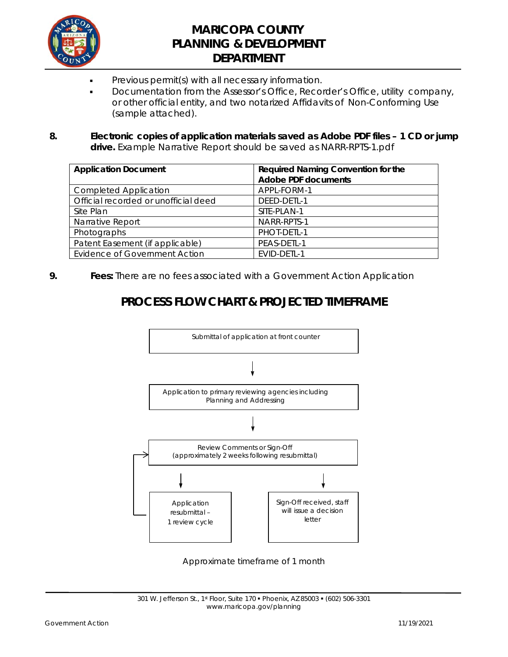

- Previous permit(s) with all necessary information.
- Documentation from the Assessor's Office, Recorder's Office, utility company, or other official entity, and two notarized Affidavits of Non-Conforming Use (sample attached).

#### **8. Electronic copies of application materials saved as Adobe PDF files – 1 CD or jump drive.** Example Narrative Report should be saved as NARR-RPTS-1.pdf

| <b>Application Document</b>          | Required Naming Convention for the |  |  |
|--------------------------------------|------------------------------------|--|--|
|                                      | <b>Adobe PDF documents</b>         |  |  |
| <b>Completed Application</b>         | APPL-FORM-1                        |  |  |
| Official recorded or unofficial deed | DEED-DETL-1                        |  |  |
| Site Plan                            | SITE-PLAN-1                        |  |  |
| Narrative Report                     | NARR-RPTS-1                        |  |  |
| Photographs                          | PHOT-DETL-1                        |  |  |
| Patent Easement (if applicable)      | PEAS-DETL-1                        |  |  |
| <b>Evidence of Government Action</b> | EVID-DETL-1                        |  |  |

**9. Fees:** There are no fees associated with a Government Action Application

# **PROCESS FLOW CHART & PROJECTED TIMEFRAME**



Approximate timeframe of 1 month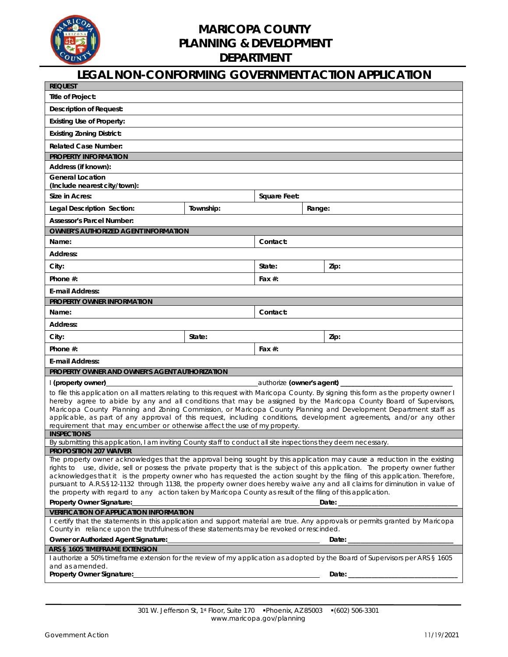

| <b>LEGAL NON-CONFORMING GOVERNMENT ACTION APPLICATION</b>                                                                                                                                                                                                       |           |                            |        |      |  |  |
|-----------------------------------------------------------------------------------------------------------------------------------------------------------------------------------------------------------------------------------------------------------------|-----------|----------------------------|--------|------|--|--|
| <b>REQUEST</b>                                                                                                                                                                                                                                                  |           |                            |        |      |  |  |
| Title of Project:                                                                                                                                                                                                                                               |           |                            |        |      |  |  |
| <b>Description of Request:</b>                                                                                                                                                                                                                                  |           |                            |        |      |  |  |
| <b>Existing Use of Property:</b>                                                                                                                                                                                                                                |           |                            |        |      |  |  |
| <b>Existing Zoning District:</b>                                                                                                                                                                                                                                |           |                            |        |      |  |  |
| <b>Related Case Number:</b>                                                                                                                                                                                                                                     |           |                            |        |      |  |  |
| <b>PROPERTY INFORMATION</b>                                                                                                                                                                                                                                     |           |                            |        |      |  |  |
| Address (if known):                                                                                                                                                                                                                                             |           |                            |        |      |  |  |
| <b>General Location</b><br>(Include nearest city/town):                                                                                                                                                                                                         |           |                            |        |      |  |  |
| Size in Acres:                                                                                                                                                                                                                                                  |           | Square Feet:               |        |      |  |  |
| Legal Description Section:                                                                                                                                                                                                                                      | Township: |                            | Range: |      |  |  |
| <b>Assessor's Parcel Number:</b>                                                                                                                                                                                                                                |           |                            |        |      |  |  |
| <b>OWNER'S AUTHORIZED AGENT INFORMATION</b>                                                                                                                                                                                                                     |           |                            |        |      |  |  |
| Name:                                                                                                                                                                                                                                                           |           | Contact:                   |        |      |  |  |
| Address:                                                                                                                                                                                                                                                        |           |                            |        |      |  |  |
| City:                                                                                                                                                                                                                                                           |           | State:                     |        | Zip: |  |  |
| Phone $#$ :                                                                                                                                                                                                                                                     |           | Fax $#$ :                  |        |      |  |  |
| <b>E-mail Address:</b>                                                                                                                                                                                                                                          |           |                            |        |      |  |  |
| <b>PROPERTY OWNER INFORMATION</b>                                                                                                                                                                                                                               |           |                            |        |      |  |  |
| Name:                                                                                                                                                                                                                                                           |           | Contact:                   |        |      |  |  |
| <b>Address:</b>                                                                                                                                                                                                                                                 |           |                            |        |      |  |  |
| City:                                                                                                                                                                                                                                                           | State:    |                            |        | Zip: |  |  |
| Phone #:                                                                                                                                                                                                                                                        |           | Fax $#$ :                  |        |      |  |  |
| <b>E-mail Address:</b>                                                                                                                                                                                                                                          |           |                            |        |      |  |  |
| PROPERTY OWNER AND OWNER'S AGENT AUTHORIZATION                                                                                                                                                                                                                  |           |                            |        |      |  |  |
| l (property owner)                                                                                                                                                                                                                                              |           | _authorize (owner's agent) |        |      |  |  |
| to file this application on all matters relating to this request with Maricopa County. By signing this form as the property owner I                                                                                                                             |           |                            |        |      |  |  |
| hereby agree to abide by any and all conditions that may be assigned by the Maricopa County Board of Supervisors,                                                                                                                                               |           |                            |        |      |  |  |
| Maricopa County Planning and Zoning Commission, or Maricopa County Planning and Development Department staff as                                                                                                                                                 |           |                            |        |      |  |  |
| applicable, as part of any approval of this request, including conditions, development agreements, and/or any other<br>requirement that may encumber or otherwise affect the use of my property.                                                                |           |                            |        |      |  |  |
| <b>INSPECTIONS</b>                                                                                                                                                                                                                                              |           |                            |        |      |  |  |
| By submitting this application, I am inviting County staff to conduct all site inspections they deem necessary.                                                                                                                                                 |           |                            |        |      |  |  |
| PROPOSITION 207 WAIVER                                                                                                                                                                                                                                          |           |                            |        |      |  |  |
| The property owner acknowledges that the approval being sought by this application may cause a reduction in the existing                                                                                                                                        |           |                            |        |      |  |  |
| rights to use, divide, sell or possess the private property that is the subject of this application. The property owner further<br>acknowledges that it is the property owner who has requested the action sought by the filing of this application. Therefore, |           |                            |        |      |  |  |
| pursuant to A.R.S.§12-1132 through 1138, the property owner does hereby waive any and all claims for diminution in value of                                                                                                                                     |           |                            |        |      |  |  |
| the property with regard to any action taken by Maricopa County as result of the filing of this application.                                                                                                                                                    |           |                            |        |      |  |  |
| Property Owner Signature:                                                                                                                                                                                                                                       |           |                            |        |      |  |  |
| <b>VERIFICATION OF APPLICATION INFORMATION</b>                                                                                                                                                                                                                  |           |                            |        |      |  |  |
| I certify that the statements in this application and support material are true. Any approvals or permits granted by Maricopa<br>County in reliance upon the truthfulness of these statements may be revoked or rescinded.                                      |           |                            |        |      |  |  |
|                                                                                                                                                                                                                                                                 |           |                            |        |      |  |  |
| ARS § 1605 TIMEFRAME EXTENSION                                                                                                                                                                                                                                  |           |                            |        |      |  |  |
| I authorize a 50% timeframe extension for the review of my application as adopted by the Board of Supervisors per ARS § 1605                                                                                                                                    |           |                            |        |      |  |  |
| and as amended.<br>Property Owner Signature:                                                                                                                                                                                                                    |           |                            |        |      |  |  |
|                                                                                                                                                                                                                                                                 |           |                            |        |      |  |  |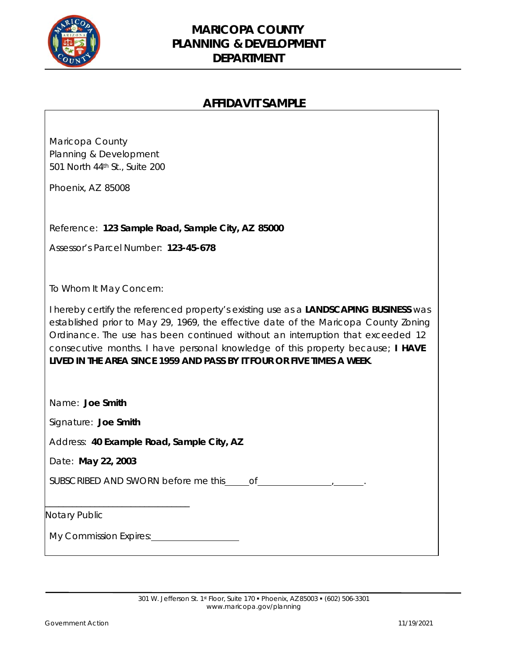

### **AFFIDAVIT SAMPLE**

| Maricopa County<br>Planning & Development<br>501 North 44th St., Suite 200<br>Phoenix, AZ 85008                                                                                                                                                                                                                                                                                                                            |
|----------------------------------------------------------------------------------------------------------------------------------------------------------------------------------------------------------------------------------------------------------------------------------------------------------------------------------------------------------------------------------------------------------------------------|
| Reference: 123 Sample Road, Sample City, AZ 85000                                                                                                                                                                                                                                                                                                                                                                          |
| Assessor's Parcel Number: 123-45-678                                                                                                                                                                                                                                                                                                                                                                                       |
|                                                                                                                                                                                                                                                                                                                                                                                                                            |
| To Whom It May Concern:                                                                                                                                                                                                                                                                                                                                                                                                    |
| I hereby certify the referenced property's existing use as a LANDSCAPING BUSINESS was<br>established prior to May 29, 1969, the effective date of the Maricopa County Zoning<br>Ordinance. The use has been continued without an interruption that exceeded 12<br>consecutive months. I have personal knowledge of this property because; I HAVE<br>LIVED IN THE AREA SINCE 1959 AND PASS BY IT FOUR OR FIVE TIMES A WEEK. |
| Name: Joe Smith                                                                                                                                                                                                                                                                                                                                                                                                            |
| Signature: Joe Smith                                                                                                                                                                                                                                                                                                                                                                                                       |
| Address: 40 Example Road, Sample City, AZ                                                                                                                                                                                                                                                                                                                                                                                  |
| Date: May 22, 2003                                                                                                                                                                                                                                                                                                                                                                                                         |
|                                                                                                                                                                                                                                                                                                                                                                                                                            |
| Notary Public                                                                                                                                                                                                                                                                                                                                                                                                              |
|                                                                                                                                                                                                                                                                                                                                                                                                                            |
| My Commission Expires:<br><u>My Commission Expires:</u>                                                                                                                                                                                                                                                                                                                                                                    |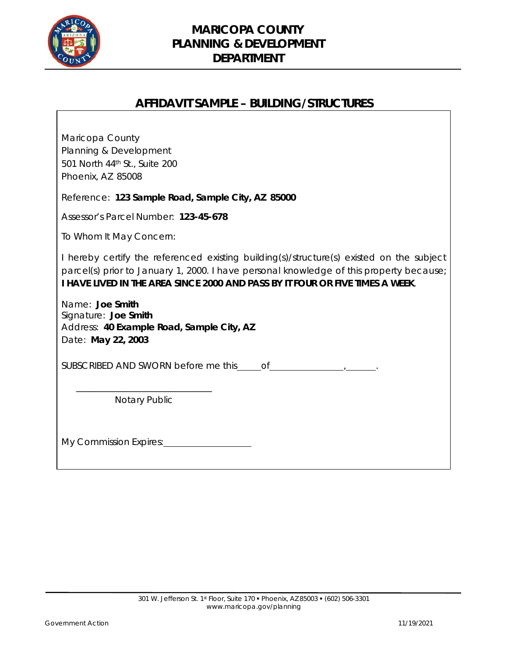

 $\sqrt{ }$ 

### **MARICOPA COUNTY PLANNING & DEVELOPMENT DEPARTMENT**

### **AFFIDAVIT SAMPLE – BUILDING/STRUCTURES**

| Maricopa County<br>Planning & Development<br>501 North 44th St., Suite 200<br>Phoenix, AZ 85008                                                                                                                                                                      |
|----------------------------------------------------------------------------------------------------------------------------------------------------------------------------------------------------------------------------------------------------------------------|
| Reference: 123 Sample Road, Sample City, AZ 85000                                                                                                                                                                                                                    |
| Assessor's Parcel Number: 123-45-678                                                                                                                                                                                                                                 |
| To Whom It May Concern:                                                                                                                                                                                                                                              |
| I hereby certify the referenced existing building(s)/structure(s) existed on the subject<br>parcel(s) prior to January 1, 2000. I have personal knowledge of this property because;<br>I HAVE LIVED IN THE AREA SINCE 2000 AND PASS BY IT FOUR OR FIVE TIMES A WEEK. |
| Name: Joe Smith<br>Signature: Joe Smith<br>Address: 40 Example Road, Sample City, AZ<br>Date: May 22, 2003                                                                                                                                                           |
| SUBSCRIBED AND SWORN before me this $of$ of $\overline{\phantom{a}}$                                                                                                                                                                                                 |
| Notary Public                                                                                                                                                                                                                                                        |
| My Commission Expires: <u>Camming Commission Expires</u>                                                                                                                                                                                                             |